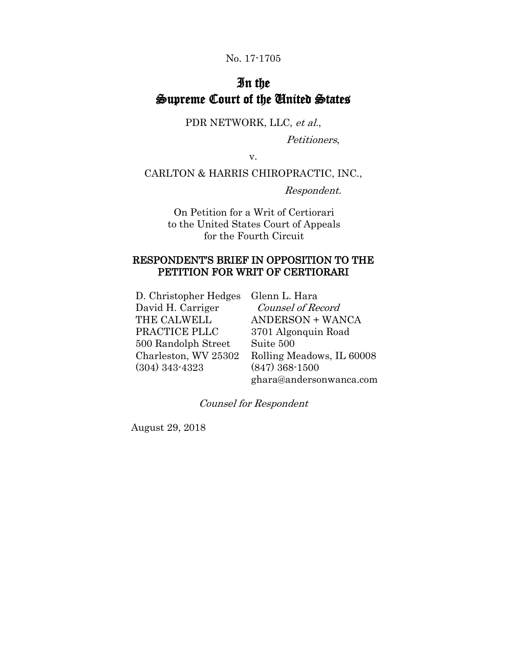#### No. 17-1705

# In the Supreme Court of the United States

PDR NETWORK, LLC, et al.,

Petitioners,

v.

CARLTON & HARRIS CHIROPRACTIC, INC.,

Respondent.

On Petition for a Writ of Certiorari to the United States Court of Appeals for the Fourth Circuit

### RESPONDENT'S BRIEF IN OPPOSITION TO THE PETITION FOR WRIT OF CERTIORARI

D. Christopher Hedges Glenn L. Hara David H. Carriger THE CALWELL PRACTICE PLLC 500 Randolph Street Charleston, WV 25302 (304) 343-4323

 Counsel of Record ANDERSON + WANCA 3701 Algonquin Road Suite 500 Rolling Meadows, IL 60008 (847) 368-1500 ghara@andersonwanca.com

Counsel for Respondent

August 29, 2018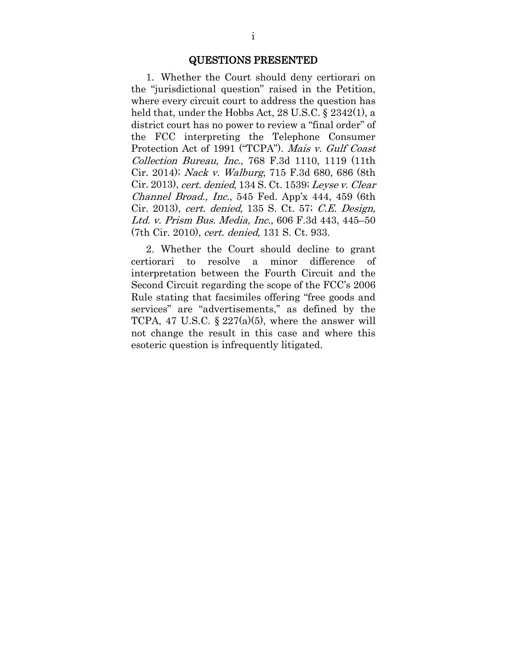#### QUESTIONS PRESENTED

1. Whether the Court should deny certiorari on the "jurisdictional question" raised in the Petition, where every circuit court to address the question has held that, under the Hobbs Act, 28 U.S.C. § 2342(1), a district court has no power to review a "final order" of the FCC interpreting the Telephone Consumer Protection Act of 1991 ("TCPA"). Mais v. Gulf Coast Collection Bureau, Inc., 768 F.3d 1110, 1119 (11th Cir. 2014); Nack v. Walburg, 715 F.3d 680, 686 (8th Cir. 2013), cert. denied, 134 S. Ct. 1539; Leyse v. Clear Channel Broad., Inc., 545 Fed. App'x 444, 459 (6th Cir. 2013), cert. denied, 135 S. Ct. 57; C.E. Design, Ltd. v. Prism Bus. Media, Inc., 606 F.3d 443, 445–50 (7th Cir. 2010), cert. denied, 131 S. Ct. 933.

2. Whether the Court should decline to grant certiorari to resolve a minor difference of interpretation between the Fourth Circuit and the Second Circuit regarding the scope of the FCC's 2006 Rule stating that facsimiles offering "free goods and services" are "advertisements," as defined by the TCPA, 47 U.S.C.  $\S 227(a)(5)$ , where the answer will not change the result in this case and where this esoteric question is infrequently litigated.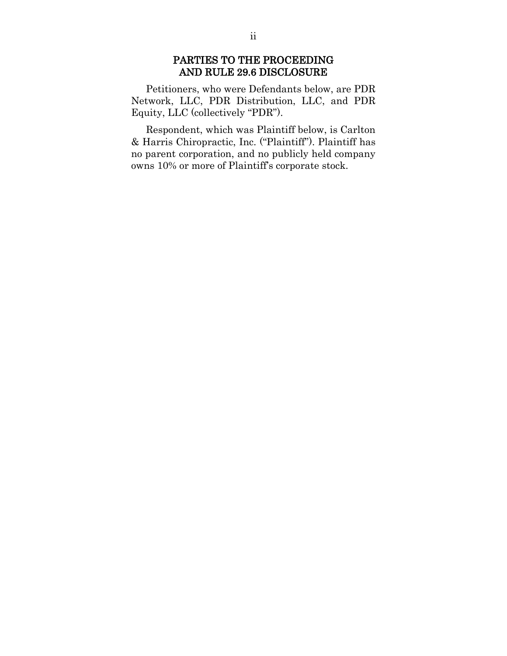### PARTIES TO THE PROCEEDING AND RULE 29.6 DISCLOSURE

Petitioners, who were Defendants below, are PDR Network, LLC, PDR Distribution, LLC, and PDR Equity, LLC (collectively "PDR").

Respondent, which was Plaintiff below, is Carlton & Harris Chiropractic, Inc. ("Plaintiff"). Plaintiff has no parent corporation, and no publicly held company owns 10% or more of Plaintiff's corporate stock.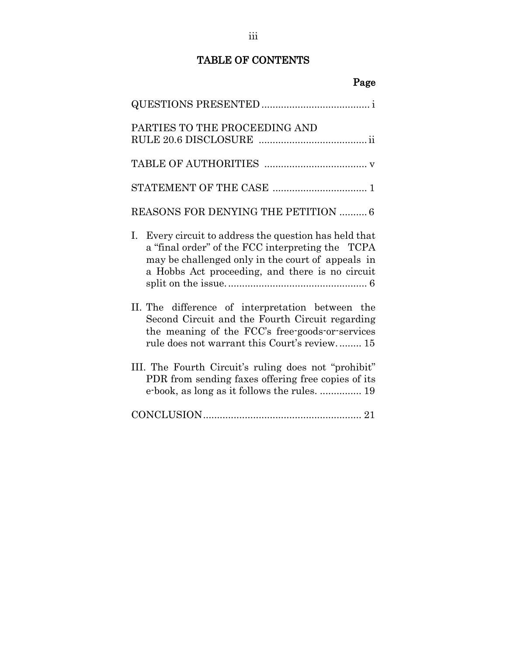## TABLE OF CONTENTS

| Page                                                                                                                                                                                                                  |
|-----------------------------------------------------------------------------------------------------------------------------------------------------------------------------------------------------------------------|
|                                                                                                                                                                                                                       |
| PARTIES TO THE PROCEEDING AND                                                                                                                                                                                         |
|                                                                                                                                                                                                                       |
|                                                                                                                                                                                                                       |
| <b>REASONS FOR DENYING THE PETITION  6</b>                                                                                                                                                                            |
| I.<br>Every circuit to address the question has held that<br>a "final order" of the FCC interpreting the TCPA<br>may be challenged only in the court of appeals in<br>a Hobbs Act proceeding, and there is no circuit |
| II. The difference of interpretation between the<br>Second Circuit and the Fourth Circuit regarding<br>the meaning of the FCC's free-goods-or-services<br>rule does not warrant this Court's review 15                |
| III. The Fourth Circuit's ruling does not "prohibit"<br>PDR from sending faxes offering free copies of its<br>e-book, as long as it follows the rules.  19                                                            |
|                                                                                                                                                                                                                       |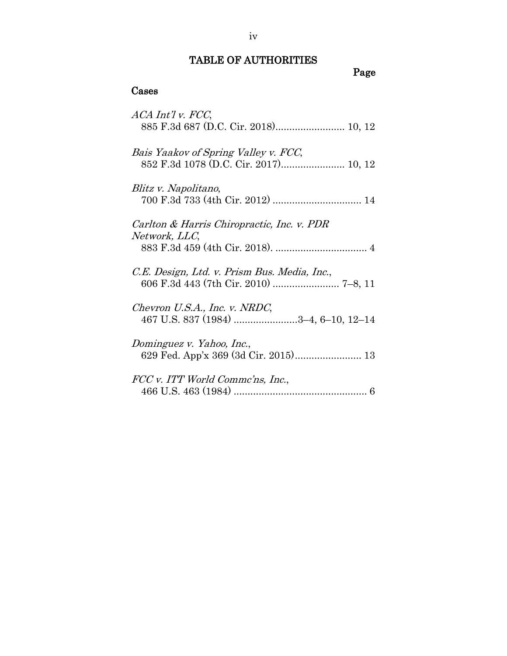## TABLE OF AUTHORITIES

Page

## Cases

| ACA Int'l v. FCC,<br>885 F.3d 687 (D.C. Cir. 2018) 10, 12                     |
|-------------------------------------------------------------------------------|
| Bais Yaakov of Spring Valley v. FCC,<br>852 F.3d 1078 (D.C. Cir. 2017) 10, 12 |
| Blitz v. Napolitano,                                                          |
| Carlton & Harris Chiropractic, Inc. v. PDR<br>Network, LLC,                   |
| C.E. Design, Ltd. v. Prism Bus. Media, Inc.,                                  |
| Chevron U.S.A., Inc. v. NRDC,<br>467 U.S. 837 (1984) 3-4, 6-10, 12-14         |
| Dominguez v. Yahoo, Inc.,                                                     |
| FCC v. ITT World Commc'ns, Inc.,                                              |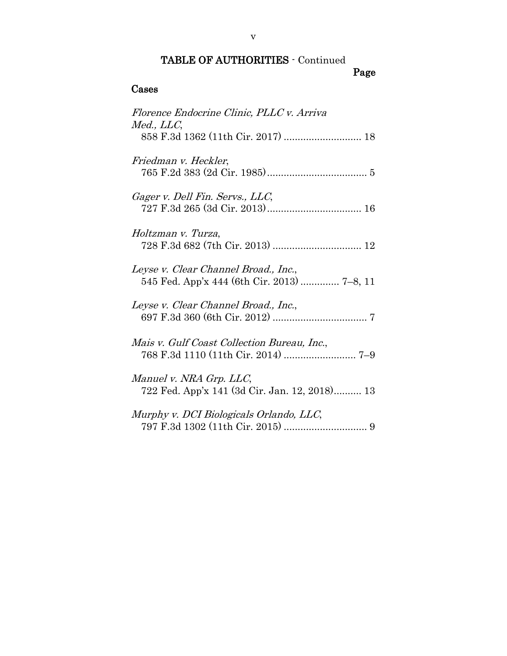# TABLE OF AUTHORITIES - Continued

## Page

## Cases

| Florence Endocrine Clinic, PLLC v. Arriva<br>Med., LLC,                             |
|-------------------------------------------------------------------------------------|
| 858 F.3d 1362 (11th Cir. 2017)  18                                                  |
| Friedman v. Heckler,                                                                |
| Gager v. Dell Fin. Servs., LLC,                                                     |
| Holtzman v. Turza,                                                                  |
| Leyse v. Clear Channel Broad., Inc.,<br>545 Fed. App'x 444 (6th Cir. 2013)  7-8, 11 |
| Leyse v. Clear Channel Broad., Inc.,                                                |
| Mais v. Gulf Coast Collection Bureau, Inc.,                                         |
| Manuel v. NRA Grp. LLC,<br>722 Fed. App'x 141 (3d Cir. Jan. 12, 2018) 13            |
| Murphy v. DCI Biologicals Orlando, LLC,                                             |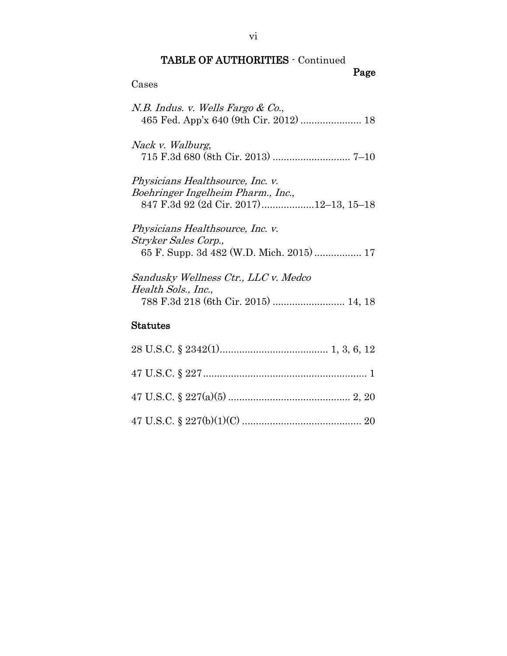# TABLE OF AUTHORITIES - Continued

## Page

| Cases                                                                                                                   |
|-------------------------------------------------------------------------------------------------------------------------|
| N.B. Indus. v. Wells Fargo & Co.,<br>465 Fed. App'x 640 (9th Cir. 2012)  18                                             |
| Nack v. Walburg,                                                                                                        |
| <i>Physicians Healthsource, Inc. v.</i><br>Boehringer Ingelheim Pharm., Inc.,<br>847 F.3d 92 (2d Cir. 2017)12-13, 15-18 |
| <i>Physicians Healthsource, Inc. v.</i><br>Stryker Sales Corp.,<br>65 F. Supp. 3d 482 (W.D. Mich. 2015)  17             |
| Sandusky Wellness Ctr., LLC v. Medco<br>Health Sols., Inc.,<br>788 F.3d 218 (6th Cir. 2015)  14, 18                     |
| <b>Statutes</b>                                                                                                         |
|                                                                                                                         |
|                                                                                                                         |

47 U.S.C. § 227(a)(5) ............................................ 2, 20

47 U.S.C. § 227(b)(1)(C) ........................................... 20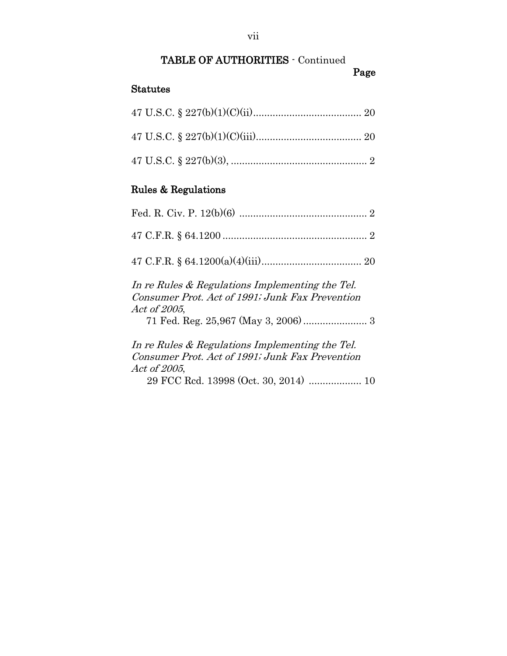# TABLE OF AUTHORITIES - Continued

Page

## Statutes

# Rules & Regulations

| In re Rules & Regulations Implementing the Tel.<br>Consumer Prot. Act of 1991; Junk Fax Prevention<br><i>Act of 2005,</i> |
|---------------------------------------------------------------------------------------------------------------------------|
| In re Rules & Regulations Implementing the Tel.<br>Consumer Prot. Act of 1991; Junk Fax Prevention<br>Act of 2005,        |

29 FCC Rcd. 13998 (Oct. 30, 2014) ................... 10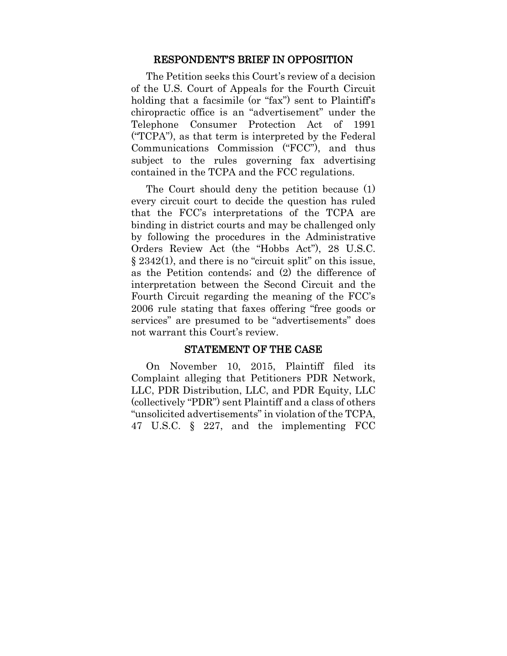#### RESPONDENT'S BRIEF IN OPPOSITION

The Petition seeks this Court's review of a decision of the U.S. Court of Appeals for the Fourth Circuit holding that a facsimile (or "fax") sent to Plaintiff's chiropractic office is an "advertisement" under the Telephone Consumer Protection Act of 1991 ("TCPA"), as that term is interpreted by the Federal Communications Commission ("FCC"), and thus subject to the rules governing fax advertising contained in the TCPA and the FCC regulations.

The Court should deny the petition because (1) every circuit court to decide the question has ruled that the FCC's interpretations of the TCPA are binding in district courts and may be challenged only by following the procedures in the Administrative Orders Review Act (the "Hobbs Act"), 28 U.S.C.  $\S 2342(1)$ , and there is no "circuit split" on this issue, as the Petition contends; and (2) the difference of interpretation between the Second Circuit and the Fourth Circuit regarding the meaning of the FCC's 2006 rule stating that faxes offering "free goods or services" are presumed to be "advertisements" does not warrant this Court's review.

#### STATEMENT OF THE CASE

On November 10, 2015, Plaintiff filed its Complaint alleging that Petitioners PDR Network, LLC, PDR Distribution, LLC, and PDR Equity, LLC (collectively "PDR") sent Plaintiff and a class of others "unsolicited advertisements" in violation of the TCPA, 47 U.S.C. § 227, and the implementing FCC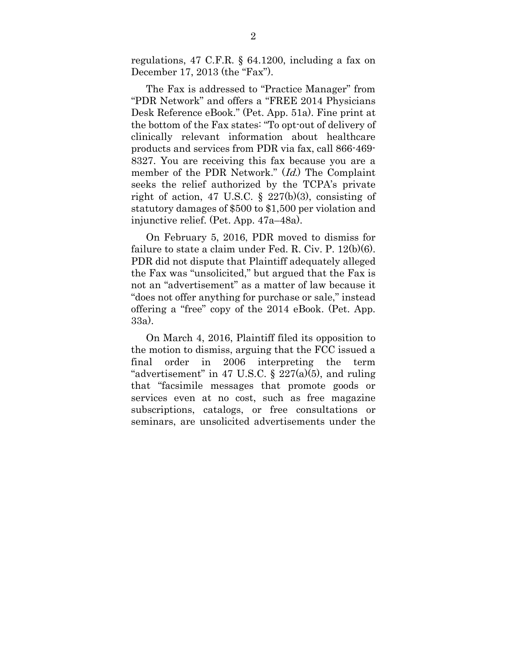regulations, 47 C.F.R. § 64.1200, including a fax on December 17, 2013 (the "Fax").

The Fax is addressed to "Practice Manager" from "PDR Network" and offers a "FREE 2014 Physicians Desk Reference eBook." (Pet. App. 51a). Fine print at the bottom of the Fax states: "To opt-out of delivery of clinically relevant information about healthcare products and services from PDR via fax, call 866-469- 8327. You are receiving this fax because you are a member of the PDR Network." (*Id.*) The Complaint seeks the relief authorized by the TCPA's private right of action, 47 U.S.C.  $\S$  227(b)(3), consisting of statutory damages of \$500 to \$1,500 per violation and injunctive relief. (Pet. App. 47a–48a).

On February 5, 2016, PDR moved to dismiss for failure to state a claim under Fed. R. Civ. P. 12(b)(6). PDR did not dispute that Plaintiff adequately alleged the Fax was "unsolicited," but argued that the Fax is not an "advertisement" as a matter of law because it "does not offer anything for purchase or sale," instead offering a "free" copy of the 2014 eBook. (Pet. App. 33a).

On March 4, 2016, Plaintiff filed its opposition to the motion to dismiss, arguing that the FCC issued a final order in 2006 interpreting the term "advertisement" in 47 U.S.C.  $\S$  227(a)(5), and ruling that "facsimile messages that promote goods or services even at no cost, such as free magazine subscriptions, catalogs, or free consultations or seminars, are unsolicited advertisements under the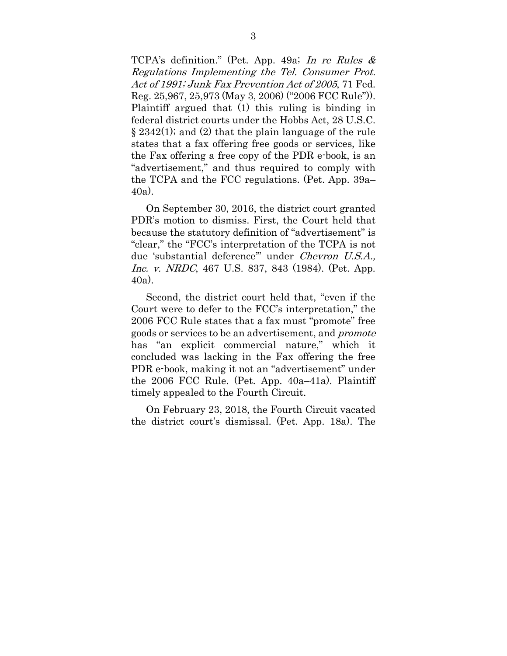TCPA's definition." (Pet. App. 49a; In re Rules & Regulations Implementing the Tel. Consumer Prot. Act of 1991; Junk Fax Prevention Act of 2005, 71 Fed. Reg. 25,967, 25,973 (May 3, 2006) ("2006 FCC Rule")). Plaintiff argued that (1) this ruling is binding in federal district courts under the Hobbs Act, 28 U.S.C. § 2342(1); and (2) that the plain language of the rule states that a fax offering free goods or services, like the Fax offering a free copy of the PDR e-book, is an "advertisement," and thus required to comply with the TCPA and the FCC regulations. (Pet. App. 39a– 40a).

On September 30, 2016, the district court granted PDR's motion to dismiss. First, the Court held that because the statutory definition of "advertisement" is "clear," the "FCC's interpretation of the TCPA is not due 'substantial deference'" under Chevron U.S.A., Inc. v. NRDC, 467 U.S. 837, 843 (1984). (Pet. App. 40a).

Second, the district court held that, "even if the Court were to defer to the FCC's interpretation," the 2006 FCC Rule states that a fax must "promote" free goods or services to be an advertisement, and promote has "an explicit commercial nature," which it concluded was lacking in the Fax offering the free PDR e-book, making it not an "advertisement" under the 2006 FCC Rule. (Pet. App. 40a–41a). Plaintiff timely appealed to the Fourth Circuit.

On February 23, 2018, the Fourth Circuit vacated the district court's dismissal. (Pet. App. 18a). The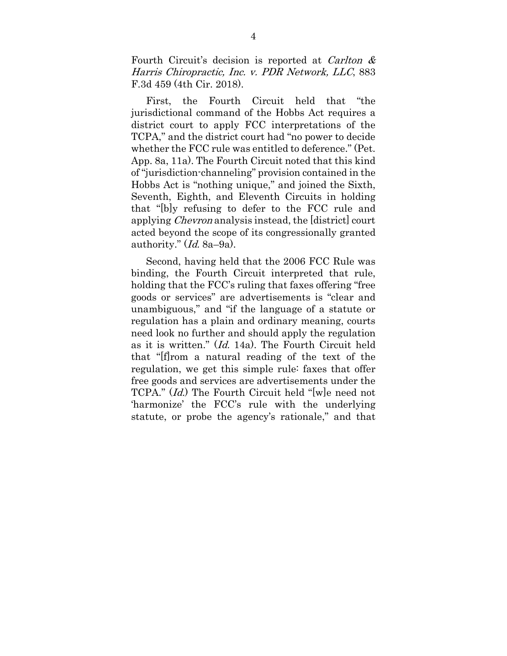Fourth Circuit's decision is reported at *Carlton &* Harris Chiropractic, Inc. v. PDR Network, LLC, 883 F.3d 459 (4th Cir. 2018).

First, the Fourth Circuit held that "the jurisdictional command of the Hobbs Act requires a district court to apply FCC interpretations of the TCPA," and the district court had "no power to decide whether the FCC rule was entitled to deference." (Pet. App. 8a, 11a). The Fourth Circuit noted that this kind of "jurisdiction-channeling" provision contained in the Hobbs Act is "nothing unique," and joined the Sixth, Seventh, Eighth, and Eleventh Circuits in holding that "[b]y refusing to defer to the FCC rule and applying Chevron analysis instead, the [district] court acted beyond the scope of its congressionally granted authority."  $(Id. 8a-9a)$ .

Second, having held that the 2006 FCC Rule was binding, the Fourth Circuit interpreted that rule, holding that the FCC's ruling that faxes offering "free goods or services" are advertisements is "clear and unambiguous," and "if the language of a statute or regulation has a plain and ordinary meaning, courts need look no further and should apply the regulation as it is written." (Id. 14a). The Fourth Circuit held that "[f]rom a natural reading of the text of the regulation, we get this simple rule: faxes that offer free goods and services are advertisements under the TCPA." (Id.) The Fourth Circuit held "[w]e need not 'harmonize' the FCC's rule with the underlying statute, or probe the agency's rationale," and that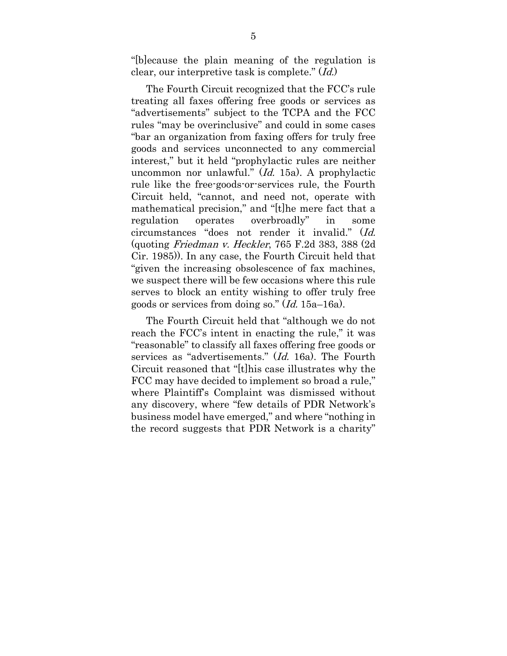"[b]ecause the plain meaning of the regulation is clear, our interpretive task is complete." (Id.)

The Fourth Circuit recognized that the FCC's rule treating all faxes offering free goods or services as "advertisements" subject to the TCPA and the FCC rules "may be overinclusive" and could in some cases "bar an organization from faxing offers for truly free goods and services unconnected to any commercial interest," but it held "prophylactic rules are neither uncommon nor unlawful." (Id. 15a). A prophylactic rule like the free-goods-or-services rule, the Fourth Circuit held, "cannot, and need not, operate with mathematical precision," and "[t]he mere fact that a regulation operates overbroadly" in some circumstances "does not render it invalid." (Id. (quoting Friedman v. Heckler, 765 F.2d 383, 388 (2d Cir. 1985)). In any case, the Fourth Circuit held that "given the increasing obsolescence of fax machines, we suspect there will be few occasions where this rule serves to block an entity wishing to offer truly free goods or services from doing so." (Id. 15a–16a).

The Fourth Circuit held that "although we do not reach the FCC's intent in enacting the rule," it was "reasonable" to classify all faxes offering free goods or services as "advertisements." (Id. 16a). The Fourth Circuit reasoned that "[t]his case illustrates why the FCC may have decided to implement so broad a rule," where Plaintiff's Complaint was dismissed without any discovery, where "few details of PDR Network's business model have emerged," and where "nothing in the record suggests that PDR Network is a charity"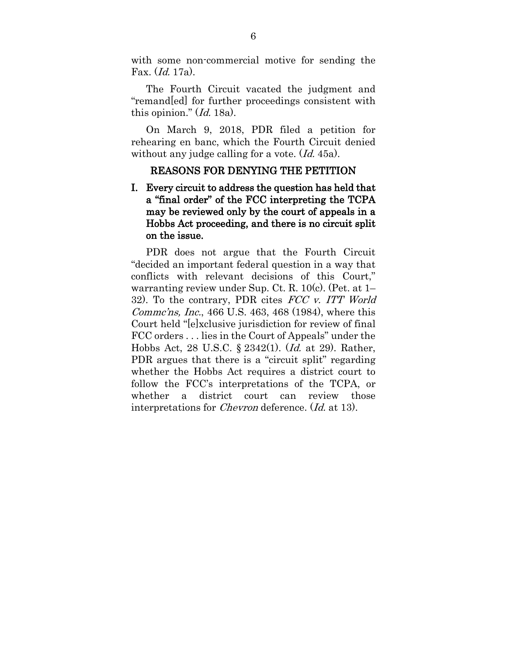with some non-commercial motive for sending the Fax. (Id. 17a).

The Fourth Circuit vacated the judgment and "remand[ed] for further proceedings consistent with this opinion."  $(Id. 18a)$ .

On March 9, 2018, PDR filed a petition for rehearing en banc, which the Fourth Circuit denied without any judge calling for a vote. (*Id.* 45a).

#### REASONS FOR DENYING THE PETITION

I. Every circuit to address the question has held that a "final order" of the FCC interpreting the TCPA may be reviewed only by the court of appeals in a Hobbs Act proceeding, and there is no circuit split on the issue.

PDR does not argue that the Fourth Circuit "decided an important federal question in a way that conflicts with relevant decisions of this Court," warranting review under Sup. Ct. R. 10(c). (Pet. at 1– 32). To the contrary, PDR cites FCC v. ITT World Commc'ns, Inc., 466 U.S. 463, 468 (1984), where this Court held "[e]xclusive jurisdiction for review of final FCC orders . . . lies in the Court of Appeals" under the Hobbs Act, 28 U.S.C. § 2342(1). (*Id.* at 29). Rather, PDR argues that there is a "circuit split" regarding whether the Hobbs Act requires a district court to follow the FCC's interpretations of the TCPA, or whether a district court can review those interpretations for Chevron deference. (Id. at 13).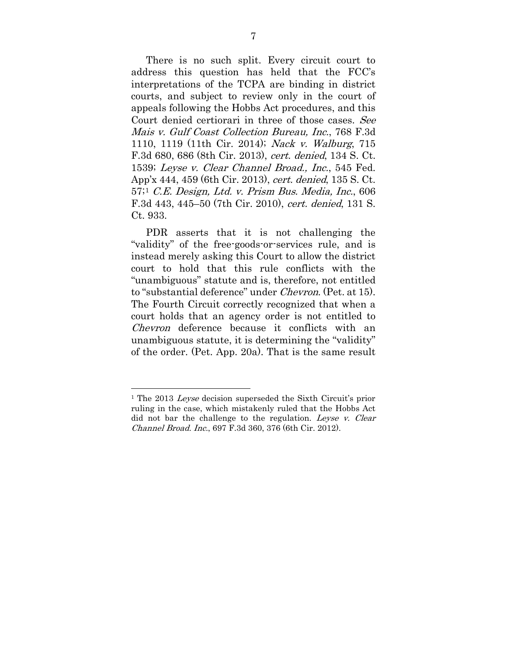There is no such split. Every circuit court to address this question has held that the FCC's interpretations of the TCPA are binding in district courts, and subject to review only in the court of appeals following the Hobbs Act procedures, and this Court denied certiorari in three of those cases. See Mais v. Gulf Coast Collection Bureau, Inc., 768 F.3d 1110, 1119 (11th Cir. 2014); Nack v. Walburg, 715 F.3d 680, 686 (8th Cir. 2013), cert. denied, 134 S. Ct. 1539; Leyse v. Clear Channel Broad., Inc., 545 Fed. App'x 444, 459 (6th Cir. 2013), cert. denied, 135 S. Ct. 57;[1](#page-14-0) C.E. Design, Ltd. v. Prism Bus. Media, Inc., 606 F.3d 443, 445–50 (7th Cir. 2010), cert. denied, 131 S. Ct. 933.

PDR asserts that it is not challenging the "validity" of the free-goods-or-services rule, and is instead merely asking this Court to allow the district court to hold that this rule conflicts with the "unambiguous" statute and is, therefore, not entitled to "substantial deference" under Chevron. (Pet. at 15). The Fourth Circuit correctly recognized that when a court holds that an agency order is not entitled to Chevron deference because it conflicts with an unambiguous statute, it is determining the "validity" of the order. (Pet. App. 20a). That is the same result

 $\overline{a}$ 

<span id="page-14-0"></span><sup>&</sup>lt;sup>1</sup> The 2013 *Leyse* decision superseded the Sixth Circuit's prior ruling in the case, which mistakenly ruled that the Hobbs Act did not bar the challenge to the regulation. Leyse v. Clear Channel Broad. Inc., 697 F.3d 360, 376 (6th Cir. 2012).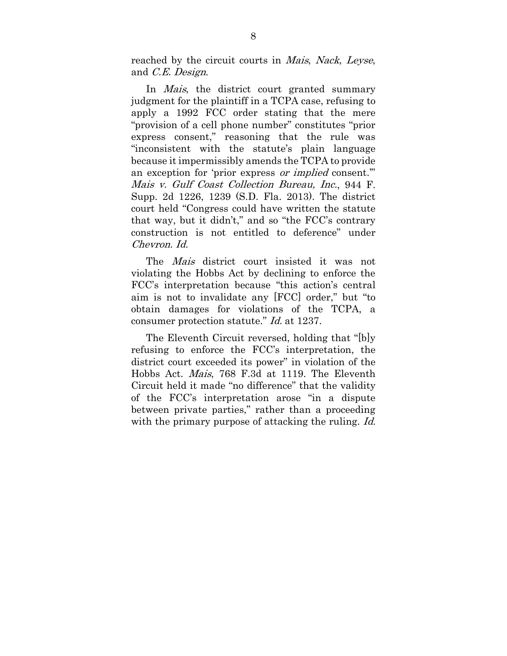reached by the circuit courts in Mais, Nack, Leyse, and C.E. Design.

In *Mais*, the district court granted summary judgment for the plaintiff in a TCPA case, refusing to apply a 1992 FCC order stating that the mere "provision of a cell phone number" constitutes "prior express consent," reasoning that the rule was "inconsistent with the statute's plain language because it impermissibly amends the TCPA to provide an exception for 'prior express *or implied* consent." Mais v. Gulf Coast Collection Bureau, Inc., 944 F. Supp. 2d 1226, 1239 (S.D. Fla. 2013). The district court held "Congress could have written the statute that way, but it didn't," and so "the FCC's contrary construction is not entitled to deference" under Chevron. Id.

The *Mais* district court insisted it was not violating the Hobbs Act by declining to enforce the FCC's interpretation because "this action's central aim is not to invalidate any [FCC] order," but "to obtain damages for violations of the TCPA, a consumer protection statute." Id. at 1237.

The Eleventh Circuit reversed, holding that "[b]y refusing to enforce the FCC's interpretation, the district court exceeded its power" in violation of the Hobbs Act. Mais, 768 F.3d at 1119. The Eleventh Circuit held it made "no difference" that the validity of the FCC's interpretation arose "in a dispute between private parties," rather than a proceeding with the primary purpose of attacking the ruling. *Id.*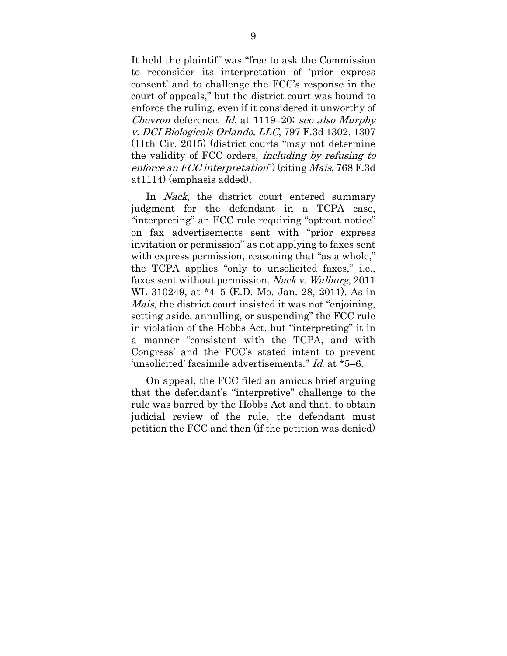It held the plaintiff was "free to ask the Commission to reconsider its interpretation of 'prior express consent' and to challenge the FCC's response in the court of appeals," but the district court was bound to enforce the ruling, even if it considered it unworthy of Chevron deference. Id. at 1119–20; see also Murphy v. DCI Biologicals Orlando, LLC, 797 F.3d 1302, 1307 (11th Cir. 2015) (district courts "may not determine the validity of FCC orders, including by refusing to enforce an FCC interpretation") (citing Mais, 768 F.3d at1114) (emphasis added).

In *Nack*, the district court entered summary judgment for the defendant in a TCPA case, "interpreting" an FCC rule requiring "opt-out notice" on fax advertisements sent with "prior express invitation or permission" as not applying to faxes sent with express permission, reasoning that "as a whole," the TCPA applies "only to unsolicited faxes," i.e., faxes sent without permission. Nack v. Walburg, 2011 WL 310249, at \*4–5 (E.D. Mo. Jan. 28, 2011). As in Mais, the district court insisted it was not "enjoining, setting aside, annulling, or suspending" the FCC rule in violation of the Hobbs Act, but "interpreting" it in a manner "consistent with the TCPA, and with Congress' and the FCC's stated intent to prevent 'unsolicited' facsimile advertisements." Id. at \*5–6.

On appeal, the FCC filed an amicus brief arguing that the defendant's "interpretive" challenge to the rule was barred by the Hobbs Act and that, to obtain judicial review of the rule, the defendant must petition the FCC and then (if the petition was denied)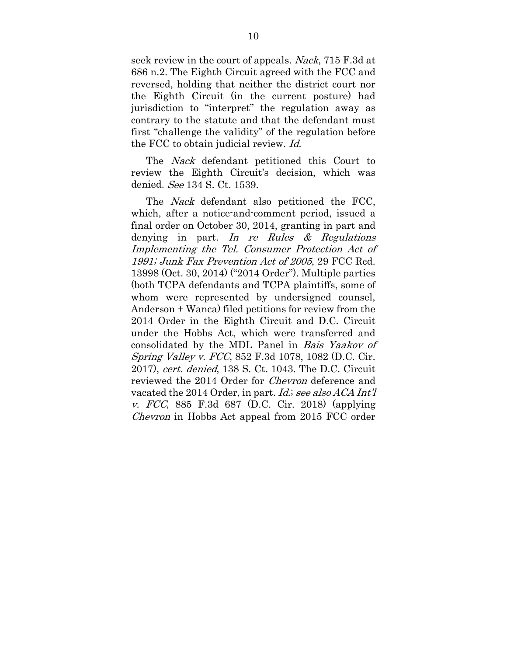seek review in the court of appeals. Nack, 715 F.3d at 686 n.2. The Eighth Circuit agreed with the FCC and reversed, holding that neither the district court nor the Eighth Circuit (in the current posture) had jurisdiction to "interpret" the regulation away as contrary to the statute and that the defendant must first "challenge the validity" of the regulation before the FCC to obtain judicial review. Id.

The Nack defendant petitioned this Court to review the Eighth Circuit's decision, which was denied. See 134 S. Ct. 1539.

The *Nack* defendant also petitioned the FCC, which, after a notice-and-comment period, issued a final order on October 30, 2014, granting in part and denying in part. In re Rules  $\&$  Regulations Implementing the Tel. Consumer Protection Act of 1991; Junk Fax Prevention Act of 2005, 29 FCC Rcd. 13998 (Oct. 30, 2014) ("2014 Order"). Multiple parties (both TCPA defendants and TCPA plaintiffs, some of whom were represented by undersigned counsel, Anderson + Wanca) filed petitions for review from the 2014 Order in the Eighth Circuit and D.C. Circuit under the Hobbs Act, which were transferred and consolidated by the MDL Panel in Bais Yaakov of Spring Valley v. FCC, 852 F.3d 1078, 1082 (D.C. Cir. 2017), cert. denied, 138 S. Ct. 1043. The D.C. Circuit reviewed the 2014 Order for Chevron deference and vacated the 2014 Order, in part. *Id.*; see also ACA Int'l v. FCC, 885 F.3d 687 (D.C. Cir. 2018) (applying Chevron in Hobbs Act appeal from 2015 FCC order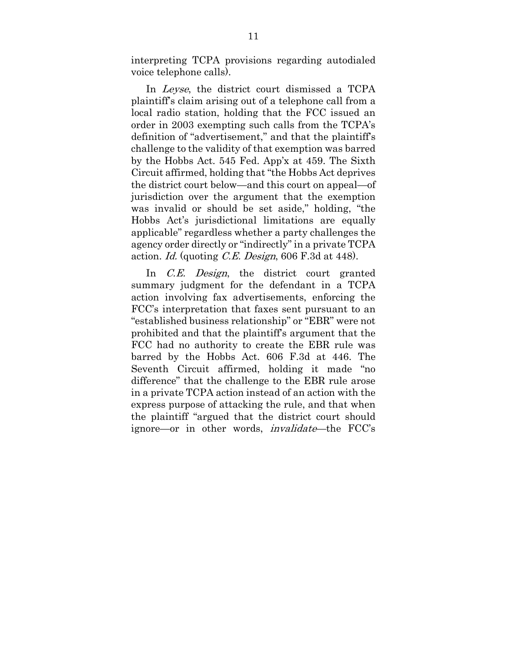interpreting TCPA provisions regarding autodialed voice telephone calls).

In Leyse, the district court dismissed a TCPA plaintiff's claim arising out of a telephone call from a local radio station, holding that the FCC issued an order in 2003 exempting such calls from the TCPA's definition of "advertisement," and that the plaintiff's challenge to the validity of that exemption was barred by the Hobbs Act. 545 Fed. App'x at 459. The Sixth Circuit affirmed, holding that "the Hobbs Act deprives the district court below—and this court on appeal—of jurisdiction over the argument that the exemption was invalid or should be set aside," holding, "the Hobbs Act's jurisdictional limitations are equally applicable" regardless whether a party challenges the agency order directly or "indirectly" in a private TCPA action. Id. (quoting C.E. Design, 606 F.3d at 448).

In *C.E. Design*, the district court granted summary judgment for the defendant in a TCPA action involving fax advertisements, enforcing the FCC's interpretation that faxes sent pursuant to an "established business relationship" or "EBR" were not prohibited and that the plaintiff's argument that the FCC had no authority to create the EBR rule was barred by the Hobbs Act. 606 F.3d at 446. The Seventh Circuit affirmed, holding it made "no difference" that the challenge to the EBR rule arose in a private TCPA action instead of an action with the express purpose of attacking the rule, and that when the plaintiff "argued that the district court should ignore—or in other words, invalidate—the FCC's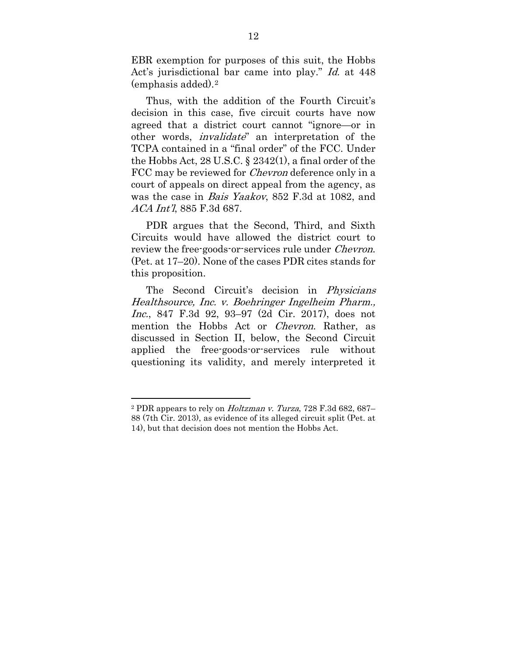EBR exemption for purposes of this suit, the Hobbs Act's jurisdictional bar came into play." *Id.* at 448 (emphasis added).[2](#page-19-0) 

Thus, with the addition of the Fourth Circuit's decision in this case, five circuit courts have now agreed that a district court cannot "ignore—or in other words, *invalidate*" an interpretation of the TCPA contained in a "final order" of the FCC. Under the Hobbs Act, 28 U.S.C. § 2342(1), a final order of the FCC may be reviewed for *Chevron* deference only in a court of appeals on direct appeal from the agency, as was the case in Bais Yaakov, 852 F.3d at 1082, and ACA Int'l, 885 F.3d 687.

PDR argues that the Second, Third, and Sixth Circuits would have allowed the district court to review the free-goods-or-services rule under *Chevron*. (Pet. at 17–20). None of the cases PDR cites stands for this proposition.

The Second Circuit's decision in Physicians Healthsource, Inc. v. Boehringer Ingelheim Pharm., Inc., 847 F.3d 92, 93–97 (2d Cir. 2017), does not mention the Hobbs Act or *Chevron*. Rather, as discussed in Section II, below, the Second Circuit applied the free-goods-or-services rule without questioning its validity, and merely interpreted it

 $\overline{a}$ 

<span id="page-19-0"></span><sup>2</sup> PDR appears to rely on Holtzman v. Turza, 728 F.3d 682, 687– 88 (7th Cir. 2013), as evidence of its alleged circuit split (Pet. at 14), but that decision does not mention the Hobbs Act.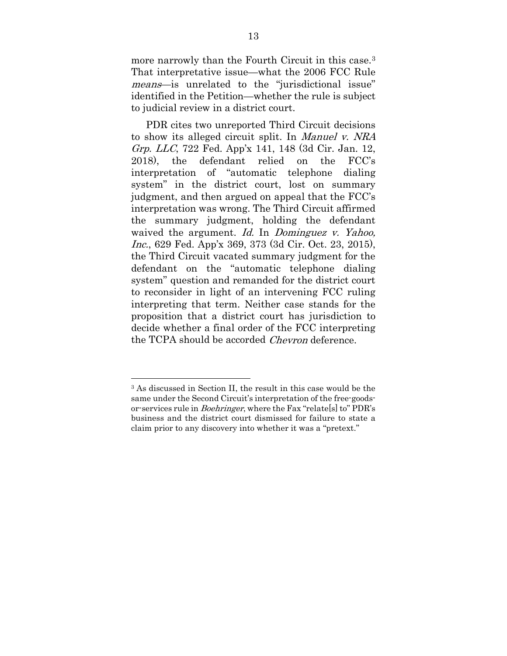more narrowly than the Fourth Circuit in this case.[3](#page-20-0) That interpretative issue—what the 2006 FCC Rule means—is unrelated to the "jurisdictional issue" identified in the Petition—whether the rule is subject to judicial review in a district court.

PDR cites two unreported Third Circuit decisions to show its alleged circuit split. In Manuel v. NRA Grp. LLC, 722 Fed. App'x 141, 148 (3d Cir. Jan. 12, 2018), the defendant relied on the FCC's interpretation of "automatic telephone dialing system" in the district court, lost on summary judgment, and then argued on appeal that the FCC's interpretation was wrong. The Third Circuit affirmed the summary judgment, holding the defendant waived the argument. Id. In Dominguez v. Yahoo, Inc., 629 Fed. App'x 369, 373 (3d Cir. Oct. 23, 2015), the Third Circuit vacated summary judgment for the defendant on the "automatic telephone dialing system" question and remanded for the district court to reconsider in light of an intervening FCC ruling interpreting that term. Neither case stands for the proposition that a district court has jurisdiction to decide whether a final order of the FCC interpreting the TCPA should be accorded *Chevron* deference.

 $\overline{a}$ 

<span id="page-20-0"></span><sup>3</sup> As discussed in Section II, the result in this case would be the same under the Second Circuit's interpretation of the free-goodsor-services rule in Boehringer, where the Fax "relate[s] to" PDR's business and the district court dismissed for failure to state a claim prior to any discovery into whether it was a "pretext."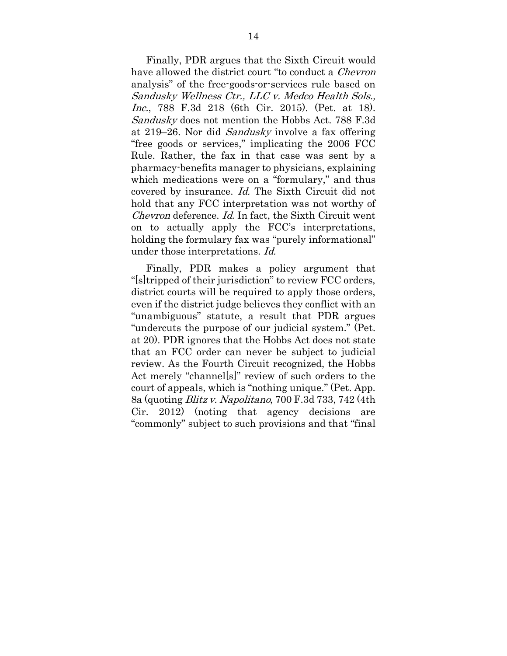Finally, PDR argues that the Sixth Circuit would have allowed the district court "to conduct a *Chevron* analysis" of the free-goods-or-services rule based on Sandusky Wellness Ctr., LLC v. Medco Health Sols., Inc., 788 F.3d 218 (6th Cir. 2015). (Pet. at 18). Sandusky does not mention the Hobbs Act. 788 F.3d at 219–26. Nor did Sandusky involve a fax offering "free goods or services," implicating the 2006 FCC Rule. Rather, the fax in that case was sent by a pharmacy-benefits manager to physicians, explaining which medications were on a "formulary," and thus covered by insurance. Id. The Sixth Circuit did not hold that any FCC interpretation was not worthy of Chevron deference. Id. In fact, the Sixth Circuit went on to actually apply the FCC's interpretations, holding the formulary fax was "purely informational" under those interpretations. Id.

Finally, PDR makes a policy argument that "[s]tripped of their jurisdiction" to review FCC orders, district courts will be required to apply those orders. even if the district judge believes they conflict with an "unambiguous" statute, a result that PDR argues "undercuts the purpose of our judicial system." (Pet. at 20). PDR ignores that the Hobbs Act does not state that an FCC order can never be subject to judicial review. As the Fourth Circuit recognized, the Hobbs Act merely "channel[s]" review of such orders to the court of appeals, which is "nothing unique." (Pet. App. 8a (quoting Blitz v. Napolitano, 700 F.3d 733, 742 (4th Cir. 2012) (noting that agency decisions are "commonly" subject to such provisions and that "final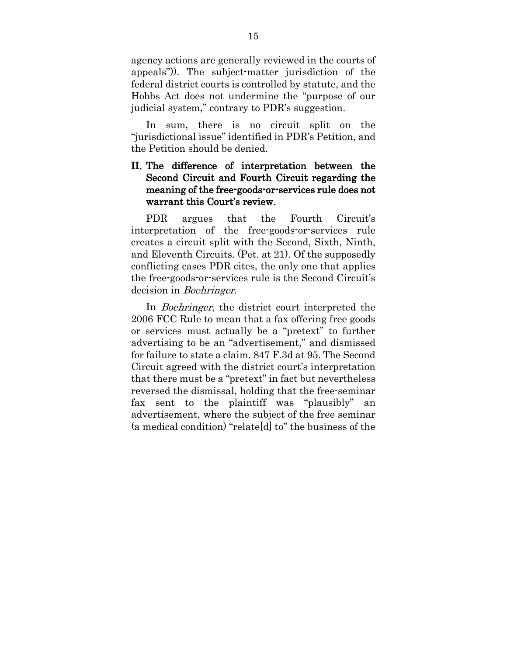agency actions are generally reviewed in the courts of appeals")). The subject-matter jurisdiction of the federal district courts is controlled by statute, and the Hobbs Act does not undermine the "purpose of our judicial system," contrary to PDR's suggestion.

In sum, there is no circuit split on the "jurisdictional issue" identified in PDR's Petition, and the Petition should be denied.

#### II. The difference of interpretation between the Second Circuit and Fourth Circuit regarding the meaning of the free-goods-or-services rule does not warrant this Court's review.

PDR argues that the Fourth Circuit's interpretation of the free-goods-or-services rule creates a circuit split with the Second, Sixth, Ninth, and Eleventh Circuits. (Pet. at 21). Of the supposedly conflicting cases PDR cites, the only one that applies the free-goods-or-services rule is the Second Circuit's decision in *Boehringer*.

In *Boehringer*, the district court interpreted the 2006 FCC Rule to mean that a fax offering free goods or services must actually be a "pretext" to further advertising to be an "advertisement," and dismissed for failure to state a claim. 847 F.3d at 95. The Second Circuit agreed with the district court's interpretation that there must be a "pretext" in fact but nevertheless reversed the dismissal, holding that the free-seminar fax sent to the plaintiff was "plausibly" an advertisement, where the subject of the free seminar (a medical condition) "relate[d] to" the business of the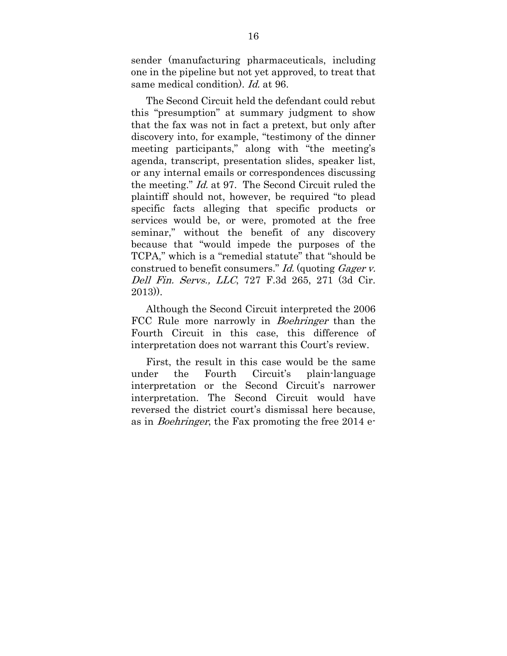sender (manufacturing pharmaceuticals, including one in the pipeline but not yet approved, to treat that same medical condition). Id. at 96.

The Second Circuit held the defendant could rebut this "presumption" at summary judgment to show that the fax was not in fact a pretext, but only after discovery into, for example, "testimony of the dinner meeting participants," along with "the meeting's agenda, transcript, presentation slides, speaker list, or any internal emails or correspondences discussing the meeting." Id. at 97. The Second Circuit ruled the plaintiff should not, however, be required "to plead specific facts alleging that specific products or services would be, or were, promoted at the free seminar," without the benefit of any discovery because that "would impede the purposes of the TCPA," which is a "remedial statute" that "should be construed to benefit consumers." Id. (quoting Gager v. Dell Fin. Servs., LLC, 727 F.3d 265, 271 (3d Cir. 2013)).

Although the Second Circuit interpreted the 2006 FCC Rule more narrowly in *Boehringer* than the Fourth Circuit in this case, this difference of interpretation does not warrant this Court's review.

First, the result in this case would be the same under the Fourth Circuit's plain-language interpretation or the Second Circuit's narrower interpretation. The Second Circuit would have reversed the district court's dismissal here because, as in Boehringer, the Fax promoting the free 2014 e-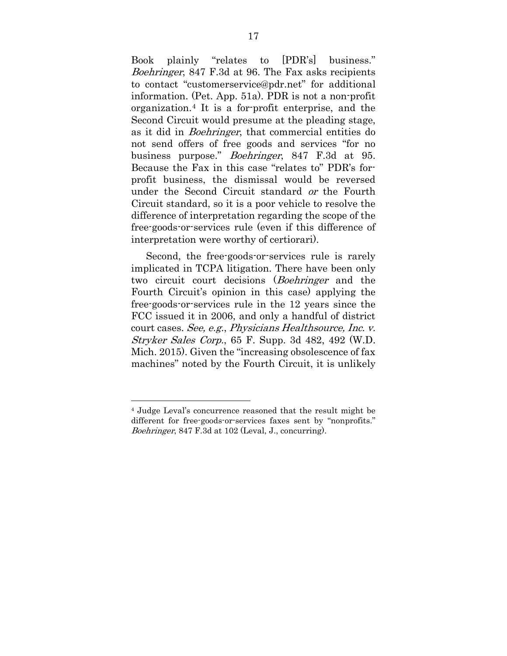Book plainly "relates to [PDR's] business." Boehringer, 847 F.3d at 96. The Fax asks recipients to contact "customerservice@pdr.net" for additional information. (Pet. App. 51a). PDR is not a non-profit organization.[4](#page-24-0) It is a for-profit enterprise, and the Second Circuit would presume at the pleading stage, as it did in Boehringer, that commercial entities do not send offers of free goods and services "for no business purpose." Boehringer, 847 F.3d at 95. Because the Fax in this case "relates to" PDR's forprofit business, the dismissal would be reversed under the Second Circuit standard or the Fourth Circuit standard, so it is a poor vehicle to resolve the difference of interpretation regarding the scope of the free-goods-or-services rule (even if this difference of interpretation were worthy of certiorari).

Second, the free-goods-or-services rule is rarely implicated in TCPA litigation. There have been only two circuit court decisions (Boehringer and the Fourth Circuit's opinion in this case) applying the free-goods-or-services rule in the 12 years since the FCC issued it in 2006, and only a handful of district court cases. See, e.g., Physicians Healthsource, Inc. v. Stryker Sales Corp., 65 F. Supp. 3d 482, 492 (W.D. Mich. 2015). Given the "increasing obsolescence of fax machines" noted by the Fourth Circuit, it is unlikely

 $\overline{a}$ 

<span id="page-24-0"></span><sup>4</sup> Judge Leval's concurrence reasoned that the result might be different for free-goods-or-services faxes sent by "nonprofits." Boehringer, 847 F.3d at 102 (Leval, J., concurring).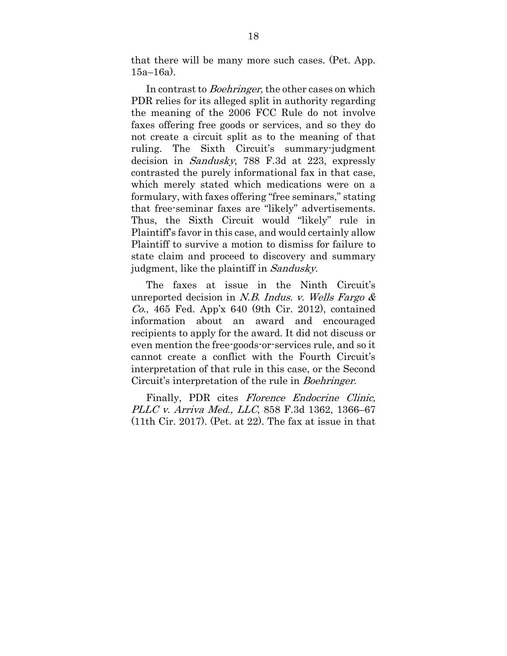that there will be many more such cases. (Pet. App. 15a–16a).

In contrast to *Boehringer*, the other cases on which PDR relies for its alleged split in authority regarding the meaning of the 2006 FCC Rule do not involve faxes offering free goods or services, and so they do not create a circuit split as to the meaning of that ruling. The Sixth Circuit's summary-judgment decision in Sandusky, 788 F.3d at 223, expressly contrasted the purely informational fax in that case, which merely stated which medications were on a formulary, with faxes offering "free seminars," stating that free-seminar faxes are "likely" advertisements. Thus, the Sixth Circuit would "likely" rule in Plaintiff's favor in this case, and would certainly allow Plaintiff to survive a motion to dismiss for failure to state claim and proceed to discovery and summary judgment, like the plaintiff in Sandusky.

The faxes at issue in the Ninth Circuit's unreported decision in N.B. Indus. v. Wells Fargo  $\&$  $Co$ , 465 Fed. App'x 640 (9th Cir. 2012), contained information about an award and encouraged recipients to apply for the award. It did not discuss or even mention the free-goods-or-services rule, and so it cannot create a conflict with the Fourth Circuit's interpretation of that rule in this case, or the Second Circuit's interpretation of the rule in Boehringer.

Finally, PDR cites *Florence Endocrine Clinic*, PLLC v. Arriva Med., LLC, 858 F.3d 1362, 1366–67 (11th Cir. 2017). (Pet. at 22). The fax at issue in that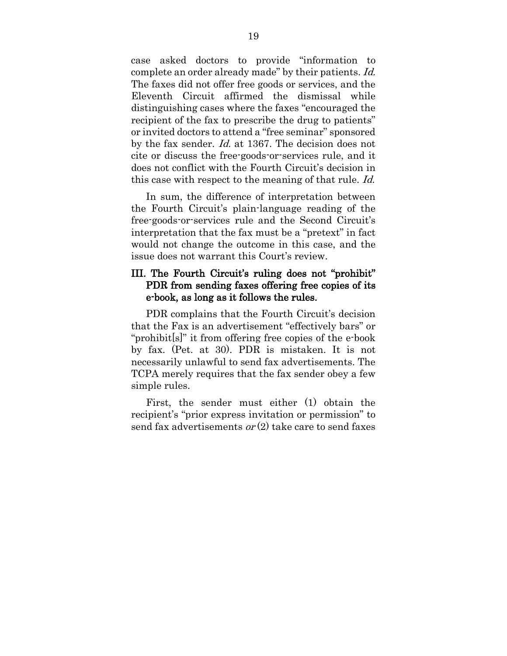case asked doctors to provide "information to complete an order already made" by their patients. Id. The faxes did not offer free goods or services, and the Eleventh Circuit affirmed the dismissal while distinguishing cases where the faxes "encouraged the recipient of the fax to prescribe the drug to patients" or invited doctors to attend a "free seminar" sponsored by the fax sender. Id. at 1367. The decision does not cite or discuss the free-goods-or-services rule, and it does not conflict with the Fourth Circuit's decision in this case with respect to the meaning of that rule. Id.

In sum, the difference of interpretation between the Fourth Circuit's plain-language reading of the free-goods-or-services rule and the Second Circuit's interpretation that the fax must be a "pretext" in fact would not change the outcome in this case, and the issue does not warrant this Court's review.

#### III. The Fourth Circuit's ruling does not "prohibit" PDR from sending faxes offering free copies of its e-book, as long as it follows the rules.

PDR complains that the Fourth Circuit's decision that the Fax is an advertisement "effectively bars" or "prohibit[s]" it from offering free copies of the e-book by fax. (Pet. at 30). PDR is mistaken. It is not necessarily unlawful to send fax advertisements. The TCPA merely requires that the fax sender obey a few simple rules.

First, the sender must either (1) obtain the recipient's "prior express invitation or permission" to send fax advertisements  $or(2)$  take care to send faxes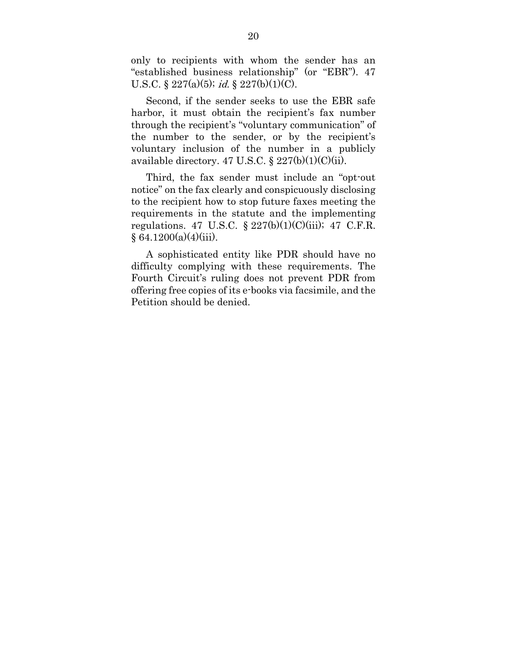only to recipients with whom the sender has an "established business relationship" (or "EBR"). 47 U.S.C.  $\S 227(a)(5)$ ; *id.*  $\S 227(b)(1)(C)$ .

Second, if the sender seeks to use the EBR safe harbor, it must obtain the recipient's fax number through the recipient's "voluntary communication" of the number to the sender, or by the recipient's voluntary inclusion of the number in a publicly available directory. 47 U.S.C.  $\S 227(b)(1)(C)(ii)$ .

Third, the fax sender must include an "opt-out notice" on the fax clearly and conspicuously disclosing to the recipient how to stop future faxes meeting the requirements in the statute and the implementing regulations. 47 U.S.C.  $\S 227(b)(1)(C)(iii)$ ; 47 C.F.R.  $§ 64.1200(a)(4)(iii).$ 

A sophisticated entity like PDR should have no difficulty complying with these requirements. The Fourth Circuit's ruling does not prevent PDR from offering free copies of its e-books via facsimile, and the Petition should be denied.